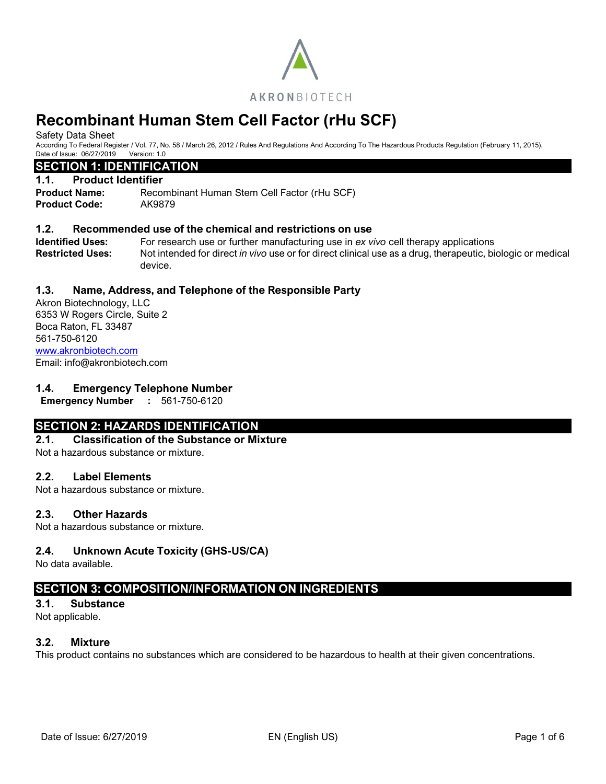

Safety Data Sheet

According To Federal Register / Vol. 77, No. 58 / March 26, 2012 / Rules And Regulations And According To The Hazardous Products Regulation (February 11, 2015). Date of Issue: 06/27/2019 Version: 1.0

# **SECTION 1: IDENTIFICATION**

#### **1.1. Product Identifier**

**Product Name:** Recombinant Human Stem Cell Factor (rHu SCF) **Product Code:** AK9879

#### **1.2. Recommended use of the chemical and restrictions on use**

**Identified Uses:** For research use or further manufacturing use in *ex vivo* cell therapy applications **Restricted Uses:** Not intended for direct *in vivo* use or for direct clinical use as a drug, therapeutic, biologic or medical device.

### **1.3. Name, Address, and Telephone of the Responsible Party**

Akron Biotechnology, LLC 6353 W Rogers Circle, Suite 2 Boca Raton, FL 33487 561-750-6120 [www.akronbiotech.com](http://www.akronbiotech.com/%3c/a) Email: info@akronbiotech.com

#### **1.4. Emergency Telephone Number**

**Emergency Number :** 561-750-6120

# **SECTION 2: HAZARDS IDENTIFICATION**

#### **2.1. Classification of the Substance or Mixture**

Not a hazardous substance or mixture.

#### **2.2. Label Elements**

Not a hazardous substance or mixture.

#### **2.3. Other Hazards**

Not a hazardous substance or mixture.

#### **2.4. Unknown Acute Toxicity (GHS-US/CA)**

No data available.

# **SECTION 3: COMPOSITION/INFORMATION ON INGREDIENTS**

**3.1. Substance**

Not applicable.

#### **3.2. Mixture**

This product contains no substances which are considered to be hazardous to health at their given concentrations.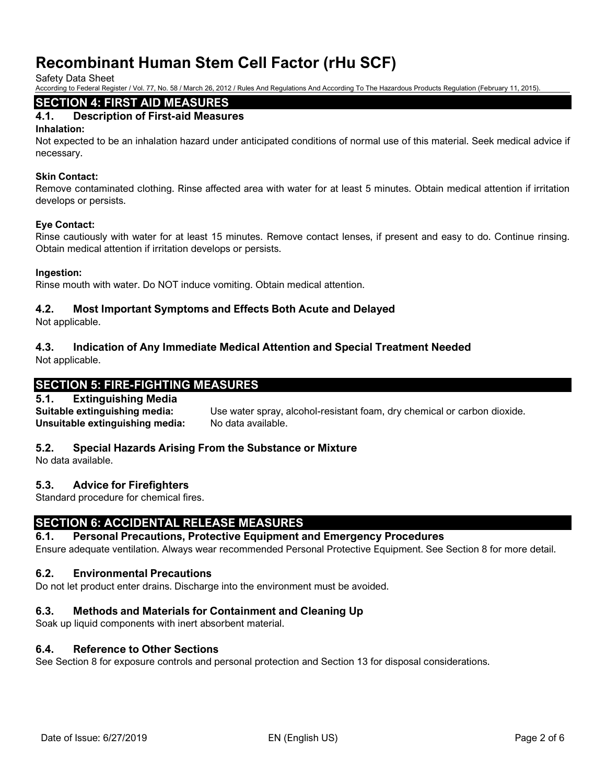Safety Data Sheet

According to Federal Register / Vol. 77, No. 58 / March 26, 2012 / Rules And Regulations And According To The Hazardous Products Regulation (February 11, 2015).

# **SECTION 4: FIRST AID MEASURES**

# **4.1. Description of First-aid Measures**

#### **Inhalation:**

Not expected to be an inhalation hazard under anticipated conditions of normal use of this material. Seek medical advice if necessary.

#### **Skin Contact:**

Remove contaminated clothing. Rinse affected area with water for at least 5 minutes. Obtain medical attention if irritation develops or persists.

#### **Eye Contact:**

Rinse cautiously with water for at least 15 minutes. Remove contact lenses, if present and easy to do. Continue rinsing. Obtain medical attention if irritation develops or persists.

#### **Ingestion:**

Rinse mouth with water. Do NOT induce vomiting. Obtain medical attention.

### **4.2. Most Important Symptoms and Effects Both Acute and Delayed**

Not applicable.

# **4.3. Indication of Any Immediate Medical Attention and Special Treatment Needed**

Not applicable.

# **SECTION 5: FIRE-FIGHTING MEASURES**

#### **5.1. Extinguishing Media**

**Suitable extinguishing media:** Use water spray, alcohol-resistant foam, dry chemical or carbon dioxide. **Unsuitable extinguishing media:** No data available.

# **5.2. Special Hazards Arising From the Substance or Mixture**

No data available.

#### **5.3. Advice for Firefighters**

Standard procedure for chemical fires.

# **SECTION 6: ACCIDENTAL RELEASE MEASURES**

**6.1. Personal Precautions, Protective Equipment and Emergency Procedures**

Ensure adequate ventilation. Always wear recommended Personal Protective Equipment. See Section 8 for more detail.

#### **6.2. Environmental Precautions**

Do not let product enter drains. Discharge into the environment must be avoided.

# **6.3. Methods and Materials for Containment and Cleaning Up**

Soak up liquid components with inert absorbent material.

#### **6.4. Reference to Other Sections**

See Section 8 for exposure controls and personal protection and Section 13 for disposal considerations.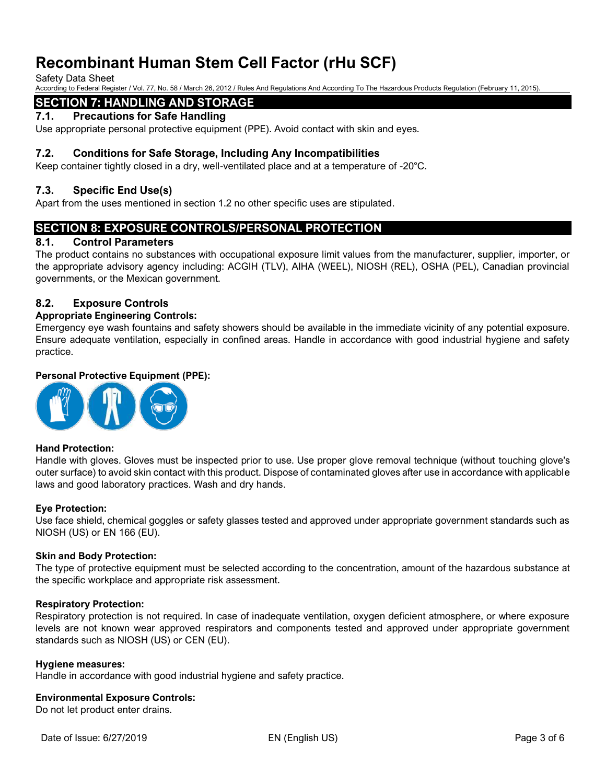Safety Data Sheet

According to Federal Register / Vol. 77, No. 58 / March 26, 2012 / Rules And Regulations And According To The Hazardous Products Regulation (February 11, 2015).

# **SECTION 7: HANDLING AND STORAGE**

### **7.1. Precautions for Safe Handling**

Use appropriate personal protective equipment (PPE). Avoid contact with skin and eyes.

#### **7.2. Conditions for Safe Storage, Including Any Incompatibilities**

Keep container tightly closed in a dry, well-ventilated place and at a temperature of -20°C.

#### **7.3. Specific End Use(s)**

Apart from the uses mentioned in section 1.2 no other specific uses are stipulated.

# **SECTION 8: EXPOSURE CONTROLS/PERSONAL PROTECTION**

#### **8.1. Control Parameters**

The product contains no substances with occupational exposure limit values from the manufacturer, supplier, importer, or the appropriate advisory agency including: ACGIH (TLV), AIHA (WEEL), NIOSH (REL), OSHA (PEL), Canadian provincial governments, or the Mexican government.

#### **8.2. Exposure Controls**

#### **Appropriate Engineering Controls:**

Emergency eye wash fountains and safety showers should be available in the immediate vicinity of any potential exposure. Ensure adequate ventilation, especially in confined areas. Handle in accordance with good industrial hygiene and safety practice.

#### **Personal Protective Equipment (PPE):**



#### **Hand Protection:**

Handle with gloves. Gloves must be inspected prior to use. Use proper glove removal technique (without touching glove's outer surface) to avoid skin contact with this product. Dispose of contaminated gloves after use in accordance with applicable laws and good laboratory practices. Wash and dry hands.

#### **Eye Protection:**

Use face shield, chemical goggles or safety glasses tested and approved under appropriate government standards such as NIOSH (US) or EN 166 (EU).

#### **Skin and Body Protection:**

The type of protective equipment must be selected according to the concentration, amount of the hazardous substance at the specific workplace and appropriate risk assessment.

#### **Respiratory Protection:**

Respiratory protection is not required. In case of inadequate ventilation, oxygen deficient atmosphere, or where exposure levels are not known wear approved respirators and components tested and approved under appropriate government standards such as NIOSH (US) or CEN (EU).

#### **Hygiene measures:**

Handle in accordance with good industrial hygiene and safety practice.

#### **Environmental Exposure Controls:**

Do not let product enter drains.

Date of Issue: 6/27/2019 EN (English US) Page 3 of 6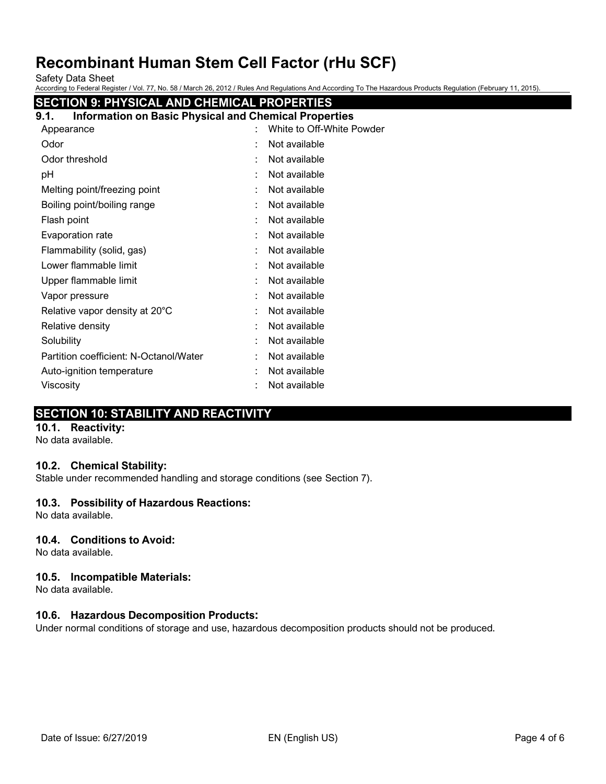Safety Data Sheet

According to Federal Register / Vol. 77, No. 58 / March 26, 2012 / Rules And Regulations And According To The Hazardous Products Regulation (February 11, 2015).

| <b>SECTION 9: PHYSICAL AND CHEMICAL PROPERTIES</b>                   |                           |
|----------------------------------------------------------------------|---------------------------|
| <b>Information on Basic Physical and Chemical Properties</b><br>9.1. |                           |
| Appearance                                                           | White to Off-White Powder |
| Odor                                                                 | Not available             |
| Odor threshold                                                       | Not available             |
| pH                                                                   | Not available             |
| Melting point/freezing point                                         | Not available             |
| Boiling point/boiling range                                          | Not available             |
| Flash point                                                          | Not available             |
| Evaporation rate                                                     | Not available             |
| Flammability (solid, gas)                                            | Not available             |
| Lower flammable limit                                                | Not available             |
| Upper flammable limit                                                | Not available             |
| Vapor pressure                                                       | Not available             |
| Relative vapor density at 20°C                                       | Not available             |
| Relative density                                                     | Not available             |
| Solubility                                                           | Not available             |
| Partition coefficient: N-Octanol/Water                               | Not available             |
| Auto-ignition temperature                                            | Not available             |
| Viscosity                                                            | Not available             |

# **SECTION 10: STABILITY AND REACTIVITY**

#### **10.1. Reactivity:**

No data available.

#### **10.2. Chemical Stability:**

Stable under recommended handling and storage conditions (see Section 7).

#### **10.3. Possibility of Hazardous Reactions:**

No data available.

#### **10.4. Conditions to Avoid:**

No data available.

#### **10.5. Incompatible Materials:**

No data available.

# **10.6. Hazardous Decomposition Products:**

Under normal conditions of storage and use, hazardous decomposition products should not be produced.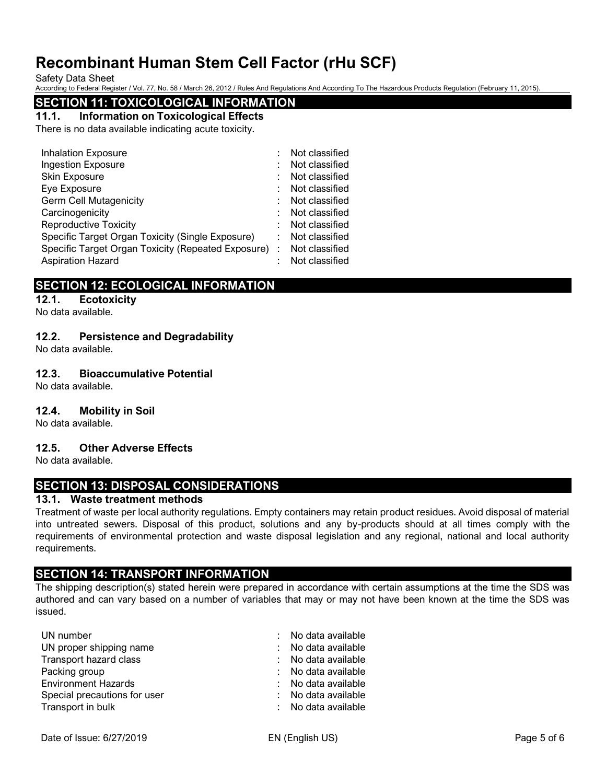Safety Data Sheet

According to Federal Register / Vol. 77, No. 58 / March 26, 2012 / Rules And Regulations And According To The Hazardous Products Regulation (February 11, 2015).

### **SECTION 11: TOXICOLOGICAL INFORMATION**

#### **11.1. Information on Toxicological Effects**

There is no data available indicating acute toxicity.

| <b>Inhalation Exposure</b>                           |   | Not classified |
|------------------------------------------------------|---|----------------|
| <b>Ingestion Exposure</b>                            |   | Not classified |
| <b>Skin Exposure</b>                                 |   | Not classified |
| Eye Exposure                                         |   | Not classified |
| <b>Germ Cell Mutagenicity</b>                        |   | Not classified |
| Carcinogenicity                                      |   | Not classified |
| <b>Reproductive Toxicity</b>                         |   | Not classified |
| Specific Target Organ Toxicity (Single Exposure)     | ÷ | Not classified |
| Specific Target Organ Toxicity (Repeated Exposure) : |   | Not classified |
| <b>Aspiration Hazard</b>                             |   | Not classified |

# **SECTION 12: ECOLOGICAL INFORMATION**

#### **12.1. Ecotoxicity**

No data available.

#### **12.2. Persistence and Degradability**

No data available.

#### **12.3. Bioaccumulative Potential**

No data available.

#### **12.4. Mobility in Soil**

No data available.

#### **12.5. Other Adverse Effects**

No data available.

# **SECTION 13: DISPOSAL CONSIDERATIONS**

#### **13.1. Waste treatment methods**

Treatment of waste per local authority regulations. Empty containers may retain product residues. Avoid disposal of material into untreated sewers. Disposal of this product, solutions and any by-products should at all times comply with the requirements of environmental protection and waste disposal legislation and any regional, national and local authority requirements.

# **SECTION 14: TRANSPORT INFORMATION**

The shipping description(s) stated herein were prepared in accordance with certain assumptions at the time the SDS was authored and can vary based on a number of variables that may or may not have been known at the time the SDS was issued.

| UN number                    | : No data available |
|------------------------------|---------------------|
| UN proper shipping name      | : No data available |
| Transport hazard class       | : No data available |
| Packing group                | : No data available |
| <b>Environment Hazards</b>   | : No data available |
| Special precautions for user | : No data available |
| Transport in bulk            | : No data available |
|                              |                     |